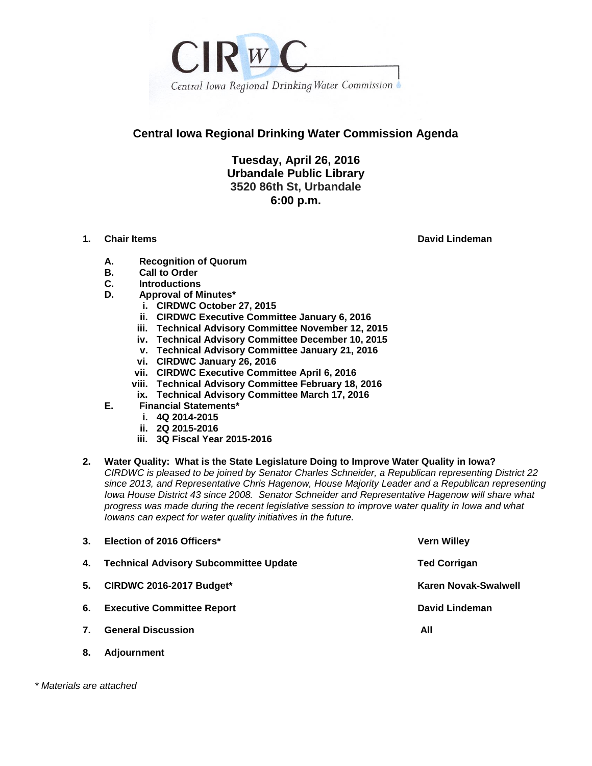

## **Central Iowa Regional Drinking Water Commission Agenda**

**Tuesday, April 26, 2016 Urbandale Public Library 3520 86th St, Urbandale 6:00 p.m.**

**1. Chair Items David Lindeman**

- **A. Recognition of Quorum**
- **B. Call to Order**
- **C. Introductions**
- **D. Approval of Minutes\***
	- **i. CIRDWC October 27, 2015**
	- **ii. CIRDWC Executive Committee January 6, 2016**
	- **iii. Technical Advisory Committee November 12, 2015**
	- **iv. Technical Advisory Committee December 10, 2015**
	- **v. Technical Advisory Committee January 21, 2016**
	- **vi. CIRDWC January 26, 2016**
	- **vii. CIRDWC Executive Committee April 6, 2016**
	- **viii. Technical Advisory Committee February 18, 2016**
	- **ix. Technical Advisory Committee March 17, 2016**
- **E. Financial Statements\***
	- **i. 4Q 2014-2015**
	- **ii. 2Q 2015-2016**
	- **iii. 3Q Fiscal Year 2015-2016**

## **2. Water Quality: What is the State Legislature Doing to Improve Water Quality in Iowa?**

*CIRDWC is pleased to be joined by Senator Charles Schneider, a Republican representing District 22 since 2013, and Representative Chris Hagenow, House Majority Leader and a Republican representing Iowa House District 43 since 2008. Senator Schneider and Representative Hagenow will share what progress was made during the recent legislative session to improve water quality in Iowa and what Iowans can expect for water quality initiatives in the future.*

| $3_{-}$ | Election of 2016 Officers*                    | <b>Vern Willey</b>   |
|---------|-----------------------------------------------|----------------------|
| 4.      | <b>Technical Advisory Subcommittee Update</b> | <b>Ted Corrigan</b>  |
| 5.      | <b>CIRDWC 2016-2017 Budget*</b>               | Karen Novak-Swalwell |
| 6.      | <b>Executive Committee Report</b>             | David Lindeman       |
| 7.      | <b>General Discussion</b>                     | All                  |
| 8.      | <b>Adiournment</b>                            |                      |

*\* Materials are attached*